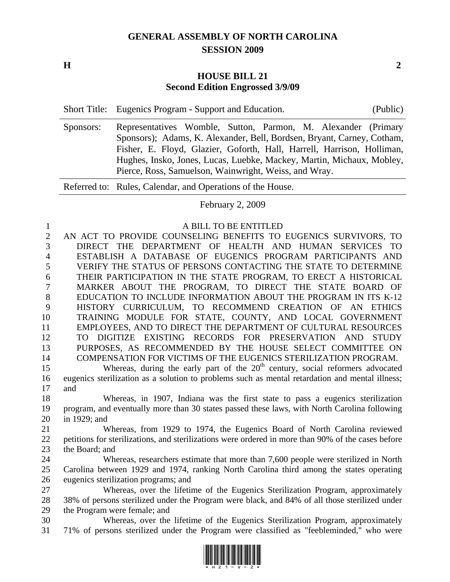## **GENERAL ASSEMBLY OF NORTH CAROLINA SESSION 2009**

**H** 2

## **HOUSE BILL 21 Second Edition Engrossed 3/9/09**

|  | Short Title: Eugenics Program - Support and Education. | (Public) |
|--|--------------------------------------------------------|----------|
|--|--------------------------------------------------------|----------|

Sponsors: Representatives Womble, Sutton, Parmon, M. Alexander (Primary Sponsors); Adams, K. Alexander, Bell, Bordsen, Bryant, Carney, Cotham, Fisher, E. Floyd, Glazier, Goforth, Hall, Harrell, Harrison, Holliman, Hughes, Insko, Jones, Lucas, Luebke, Mackey, Martin, Michaux, Mobley, Pierce, Ross, Samuelson, Wainwright, Weiss, and Wray.

Referred to: Rules, Calendar, and Operations of the House.

February 2, 2009

## 1 A BILL TO BE ENTITLED

2 AN ACT TO PROVIDE COUNSELING BENEFITS TO EUGENICS SURVIVORS, TO 3 DIRECT THE DEPARTMENT OF HEALTH AND HUMAN SERVICES TO 4 ESTABLISH A DATABASE OF EUGENICS PROGRAM PARTICIPANTS AND 5 VERIFY THE STATUS OF PERSONS CONTACTING THE STATE TO DETERMINE 6 THEIR PARTICIPATION IN THE STATE PROGRAM, TO ERECT A HISTORICAL 7 MARKER ABOUT THE PROGRAM, TO DIRECT THE STATE BOARD OF 8 EDUCATION TO INCLUDE INFORMATION ABOUT THE PROGRAM IN ITS K-12 9 HISTORY CURRICULUM, TO RECOMMEND CREATION OF AN ETHICS 10 TRAINING MODULE FOR STATE, COUNTY, AND LOCAL GOVERNMENT 11 EMPLOYEES, AND TO DIRECT THE DEPARTMENT OF CULTURAL RESOURCES 12 TO DIGITIZE EXISTING RECORDS FOR PRESERVATION AND STUDY 13 PURPOSES, AS RECOMMENDED BY THE HOUSE SELECT COMMITTEE ON 14 COMPENSATION FOR VICTIMS OF THE EUGENICS STERILIZATION PROGRAM.

Whereas, during the early part of the 20<sup>th</sup> century, social reformers advocated 16 eugenics sterilization as a solution to problems such as mental retardation and mental illness; 17 and

18 Whereas, in 1907, Indiana was the first state to pass a eugenics sterilization 19 program, and eventually more than 30 states passed these laws, with North Carolina following 20 in 1929; and

21 Whereas, from 1929 to 1974, the Eugenics Board of North Carolina reviewed 22 petitions for sterilizations, and sterilizations were ordered in more than 90% of the cases before 23 the Board; and

24 Whereas, researchers estimate that more than 7,600 people were sterilized in North 25 Carolina between 1929 and 1974, ranking North Carolina third among the states operating 26 eugenics sterilization programs; and

27 Whereas, over the lifetime of the Eugenics Sterilization Program, approximately 28 38% of persons sterilized under the Program were black, and 84% of all those sterilized under 29 the Program were female; and

30 Whereas, over the lifetime of the Eugenics Sterilization Program, approximately 31 71% of persons sterilized under the Program were classified as "feebleminded," who were

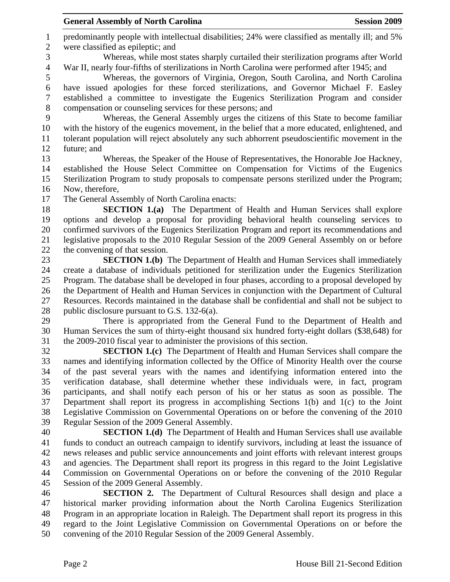1 predominantly people with intellectual disabilities; 24% were classified as mentally ill; and 5% 2 were classified as epileptic; and

3 Whereas, while most states sharply curtailed their sterilization programs after World 4 War II, nearly four-fifths of sterilizations in North Carolina were performed after 1945; and

5 Whereas, the governors of Virginia, Oregon, South Carolina, and North Carolina 6 have issued apologies for these forced sterilizations, and Governor Michael F. Easley 7 established a committee to investigate the Eugenics Sterilization Program and consider 8 compensation or counseling services for these persons; and

9 Whereas, the General Assembly urges the citizens of this State to become familiar 10 with the history of the eugenics movement, in the belief that a more educated, enlightened, and 11 tolerant population will reject absolutely any such abhorrent pseudoscientific movement in the 12 future; and

13 Whereas, the Speaker of the House of Representatives, the Honorable Joe Hackney, 14 established the House Select Committee on Compensation for Victims of the Eugenics 15 Sterilization Program to study proposals to compensate persons sterilized under the Program; 16 Now, therefore,

17 The General Assembly of North Carolina enacts:

18 **SECTION 1.(a)** The Department of Health and Human Services shall explore 19 options and develop a proposal for providing behavioral health counseling services to 20 confirmed survivors of the Eugenics Sterilization Program and report its recommendations and 21 legislative proposals to the 2010 Regular Session of the 2009 General Assembly on or before 22 the convening of that session.

23 **SECTION 1.(b)** The Department of Health and Human Services shall immediately 24 create a database of individuals petitioned for sterilization under the Eugenics Sterilization 25 Program. The database shall be developed in four phases, according to a proposal developed by 26 the Department of Health and Human Services in conjunction with the Department of Cultural 27 Resources. Records maintained in the database shall be confidential and shall not be subject to 28 public disclosure pursuant to G.S. 132-6(a).

29 There is appropriated from the General Fund to the Department of Health and 30 Human Services the sum of thirty-eight thousand six hundred forty-eight dollars (\$38,648) for 31 the 2009-2010 fiscal year to administer the provisions of this section.

32 **SECTION 1.(c)** The Department of Health and Human Services shall compare the 33 names and identifying information collected by the Office of Minority Health over the course 34 of the past several years with the names and identifying information entered into the 35 verification database, shall determine whether these individuals were, in fact, program 36 participants, and shall notify each person of his or her status as soon as possible. The 37 Department shall report its progress in accomplishing Sections 1(b) and 1(c) to the Joint 38 Legislative Commission on Governmental Operations on or before the convening of the 2010 39 Regular Session of the 2009 General Assembly.

40 **SECTION 1.(d)** The Department of Health and Human Services shall use available 41 funds to conduct an outreach campaign to identify survivors, including at least the issuance of 42 news releases and public service announcements and joint efforts with relevant interest groups 43 and agencies. The Department shall report its progress in this regard to the Joint Legislative 44 Commission on Governmental Operations on or before the convening of the 2010 Regular 45 Session of the 2009 General Assembly.

46 **SECTION 2.** The Department of Cultural Resources shall design and place a 47 historical marker providing information about the North Carolina Eugenics Sterilization 48 Program in an appropriate location in Raleigh. The Department shall report its progress in this 49 regard to the Joint Legislative Commission on Governmental Operations on or before the 50 convening of the 2010 Regular Session of the 2009 General Assembly.